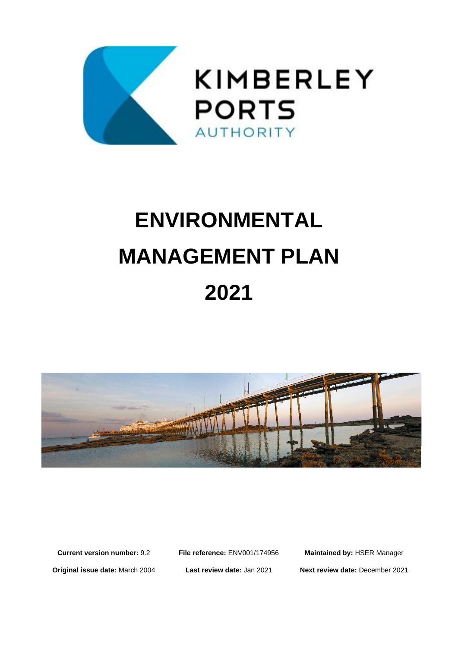

# **ENVIRONMENTAL MANAGEMENT PLAN 2021**



**Current version number:** 9.2 **File reference:** ENV001/174956 **Maintained by:** HSER Manager **Original issue date:** March 2004 **Last review date:** Jan 2021 **Next review date:** December 2021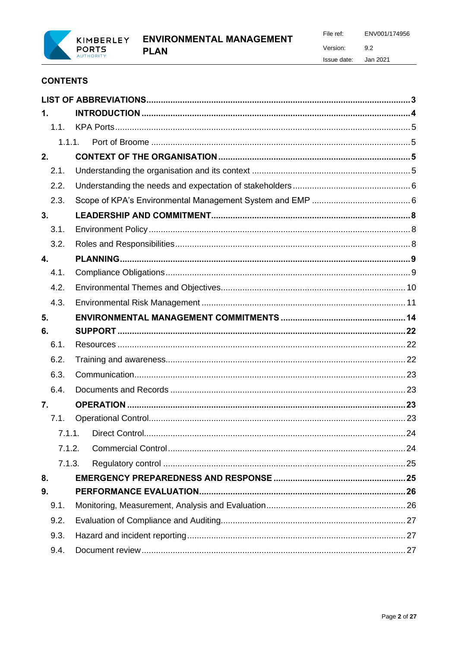

Version:  $9.2$ 

File ref:

Issue date: Jan 2021

ENV001/174956

# **CONTENTS**

| $\mathbf{1}$ .   |  |
|------------------|--|
| 1.1.             |  |
| 1.1.1.           |  |
| 2.               |  |
| 2.1.             |  |
| 2.2.             |  |
| 2.3.             |  |
| 3.               |  |
| 3.1.             |  |
| 3.2.             |  |
| 4.               |  |
| 4.1.             |  |
| 4.2.             |  |
| 4.3.             |  |
| 5.               |  |
|                  |  |
| 6.               |  |
| 6.1.             |  |
| 6.2.             |  |
| 6.3.             |  |
| 6.4.             |  |
| $\overline{7}$ . |  |
| 7.1.             |  |
| 7.1.1.           |  |
| 7.1.2.           |  |
| 7.1.3.           |  |
| 8.               |  |
| 9.               |  |
| 9.1.             |  |
| 9.2.             |  |
| 9.3.             |  |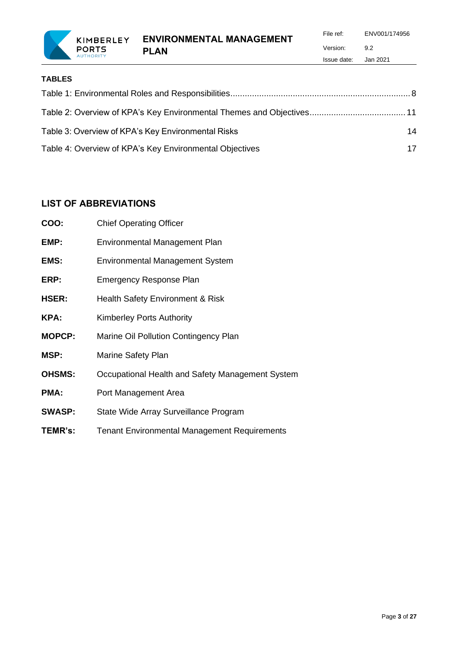**ENVIRONMENTAL MANAGEMENT** 

**PLAN**

File ref: ENV001/174956 Version: 9.2 Issue date: Jan 2021

| Table 3: Overview of KPA's Key Environmental Risks      | 14 |
|---------------------------------------------------------|----|
| Table 4: Overview of KPA's Key Environmental Objectives | 17 |

# <span id="page-2-0"></span>**LIST OF ABBREVIATIONS**

**PORTS AUTHORI** 

| COO:          | <b>Chief Operating Officer</b>                      |
|---------------|-----------------------------------------------------|
| EMP:          | Environmental Management Plan                       |
| EMS:          | <b>Environmental Management System</b>              |
| ERP:          | <b>Emergency Response Plan</b>                      |
| HSER:         | Health Safety Environment & Risk                    |
| KPA:          | <b>Kimberley Ports Authority</b>                    |
| <b>MOPCP:</b> | Marine Oil Pollution Contingency Plan               |
| MSP:          | <b>Marine Safety Plan</b>                           |
| <b>OHSMS:</b> | Occupational Health and Safety Management System    |
| PMA:          | Port Management Area                                |
| <b>SWASP:</b> | State Wide Array Surveillance Program               |
| TEMR's:       | <b>Tenant Environmental Management Requirements</b> |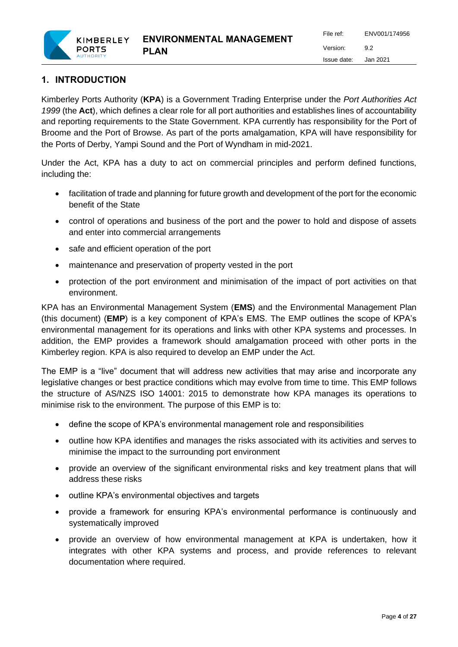

# <span id="page-3-0"></span>**1. INTRODUCTION**

Kimberley Ports Authority (**KPA**) is a Government Trading Enterprise under the *Port Authorities Act 1999* (the **Act**), which defines a clear role for all port authorities and establishes lines of accountability and reporting requirements to the State Government. KPA currently has responsibility for the Port of Broome and the Port of Browse. As part of the ports amalgamation, KPA will have responsibility for the Ports of Derby, Yampi Sound and the Port of Wyndham in mid-2021.

Under the Act, KPA has a duty to act on commercial principles and perform defined functions, including the:

- facilitation of trade and planning for future growth and development of the port for the economic benefit of the State
- control of operations and business of the port and the power to hold and dispose of assets and enter into commercial arrangements
- safe and efficient operation of the port
- maintenance and preservation of property vested in the port
- protection of the port environment and minimisation of the impact of port activities on that environment.

KPA has an Environmental Management System (**EMS**) and the Environmental Management Plan (this document) (**EMP**) is a key component of KPA's EMS. The EMP outlines the scope of KPA's environmental management for its operations and links with other KPA systems and processes. In addition, the EMP provides a framework should amalgamation proceed with other ports in the Kimberley region. KPA is also required to develop an EMP under the Act.

The EMP is a "live" document that will address new activities that may arise and incorporate any legislative changes or best practice conditions which may evolve from time to time. This EMP follows the structure of AS/NZS ISO 14001: 2015 to demonstrate how KPA manages its operations to minimise risk to the environment. The purpose of this EMP is to:

- define the scope of KPA's environmental management role and responsibilities
- outline how KPA identifies and manages the risks associated with its activities and serves to minimise the impact to the surrounding port environment
- provide an overview of the significant environmental risks and key treatment plans that will address these risks
- outline KPA's environmental objectives and targets
- provide a framework for ensuring KPA's environmental performance is continuously and systematically improved
- provide an overview of how environmental management at KPA is undertaken, how it integrates with other KPA systems and process, and provide references to relevant documentation where required.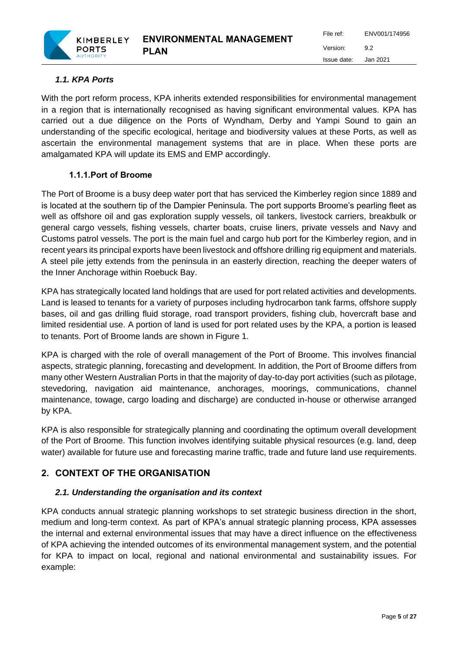

# <span id="page-4-0"></span>*1.1. KPA Ports*

**PORTS** 

With the port reform process, KPA inherits extended responsibilities for environmental management in a region that is internationally recognised as having significant environmental values. KPA has carried out a due diligence on the Ports of Wyndham, Derby and Yampi Sound to gain an understanding of the specific ecological, heritage and biodiversity values at these Ports, as well as ascertain the environmental management systems that are in place. When these ports are amalgamated KPA will update its EMS and EMP accordingly.

# **1.1.1.Port of Broome**

<span id="page-4-1"></span>The Port of Broome is a busy deep water port that has serviced the Kimberley region since 1889 and is located at the southern tip of the Dampier Peninsula. The port supports Broome's pearling fleet as well as offshore oil and gas exploration supply vessels, oil tankers, livestock carriers, breakbulk or general cargo vessels, fishing vessels, charter boats, cruise liners, private vessels and Navy and Customs patrol vessels. The port is the main fuel and cargo hub port for the Kimberley region, and in recent years its principal exports have been livestock and offshore drilling rig equipment and materials. A steel pile jetty extends from the peninsula in an easterly direction, reaching the deeper waters of the Inner Anchorage within Roebuck Bay.

KPA has strategically located land holdings that are used for port related activities and developments. Land is leased to tenants for a variety of purposes including hydrocarbon tank farms, offshore supply bases, oil and gas drilling fluid storage, road transport providers, fishing club, hovercraft base and limited residential use. A portion of land is used for port related uses by the KPA, a portion is leased to tenants. Port of Broome lands are shown in Figure 1.

KPA is charged with the role of overall management of the Port of Broome. This involves financial aspects, strategic planning, forecasting and development. In addition, the Port of Broome differs from many other Western Australian Ports in that the majority of day-to-day port activities (such as pilotage, stevedoring, navigation aid maintenance, anchorages, moorings, communications, channel maintenance, towage, cargo loading and discharge) are conducted in-house or otherwise arranged by KPA.

KPA is also responsible for strategically planning and coordinating the optimum overall development of the Port of Broome. This function involves identifying suitable physical resources (e.g. land, deep water) available for future use and forecasting marine traffic, trade and future land use requirements.

# <span id="page-4-2"></span>**2. CONTEXT OF THE ORGANISATION**

# <span id="page-4-3"></span>*2.1. Understanding the organisation and its context*

KPA conducts annual strategic planning workshops to set strategic business direction in the short, medium and long-term context. As part of KPA's annual strategic planning process, KPA assesses the internal and external environmental issues that may have a direct influence on the effectiveness of KPA achieving the intended outcomes of its environmental management system, and the potential for KPA to impact on local, regional and national environmental and sustainability issues. For example: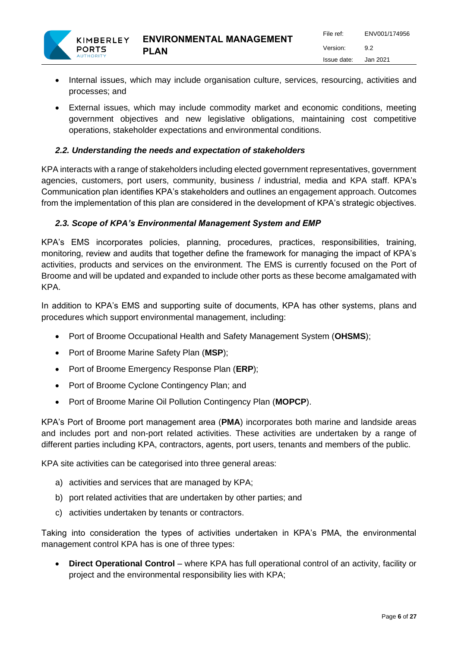- Internal issues, which may include organisation culture, services, resourcing, activities and processes; and
- External issues, which may include commodity market and economic conditions, meeting government objectives and new legislative obligations, maintaining cost competitive operations, stakeholder expectations and environmental conditions.

# <span id="page-5-0"></span>*2.2. Understanding the needs and expectation of stakeholders*

KPA interacts with a range of stakeholders including elected government representatives, government agencies, customers, port users, community, business / industrial, media and KPA staff. KPA's Communication plan identifies KPA's stakeholders and outlines an engagement approach. Outcomes from the implementation of this plan are considered in the development of KPA's strategic objectives.

# <span id="page-5-1"></span>*2.3. Scope of KPA's Environmental Management System and EMP*

KPA's EMS incorporates policies, planning, procedures, practices, responsibilities, training, monitoring, review and audits that together define the framework for managing the impact of KPA's activities, products and services on the environment. The EMS is currently focused on the Port of Broome and will be updated and expanded to include other ports as these become amalgamated with KPA.

In addition to KPA's EMS and supporting suite of documents, KPA has other systems, plans and procedures which support environmental management, including:

- Port of Broome Occupational Health and Safety Management System (**OHSMS**);
- Port of Broome Marine Safety Plan (**MSP**);
- Port of Broome Emergency Response Plan (**ERP**);
- Port of Broome Cyclone Contingency Plan; and
- Port of Broome Marine Oil Pollution Contingency Plan (**MOPCP**).

KPA's Port of Broome port management area (**PMA**) incorporates both marine and landside areas and includes port and non-port related activities. These activities are undertaken by a range of different parties including KPA, contractors, agents, port users, tenants and members of the public.

KPA site activities can be categorised into three general areas:

- a) activities and services that are managed by KPA;
- b) port related activities that are undertaken by other parties; and
- c) activities undertaken by tenants or contractors.

Taking into consideration the types of activities undertaken in KPA's PMA, the environmental management control KPA has is one of three types:

• **Direct Operational Control** – where KPA has full operational control of an activity, facility or project and the environmental responsibility lies with KPA;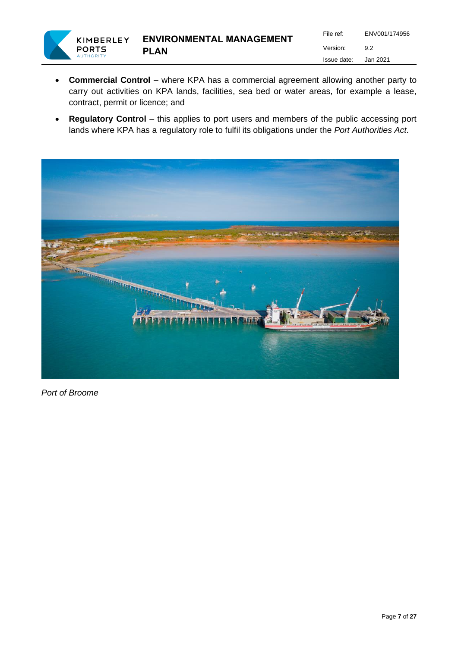

- **Commercial Control** where KPA has a commercial agreement allowing another party to carry out activities on KPA lands, facilities, sea bed or water areas, for example a lease, contract, permit or licence; and
- **Regulatory Control** this applies to port users and members of the public accessing port lands where KPA has a regulatory role to fulfil its obligations under the *Port Authorities Act*.



*Port of Broome*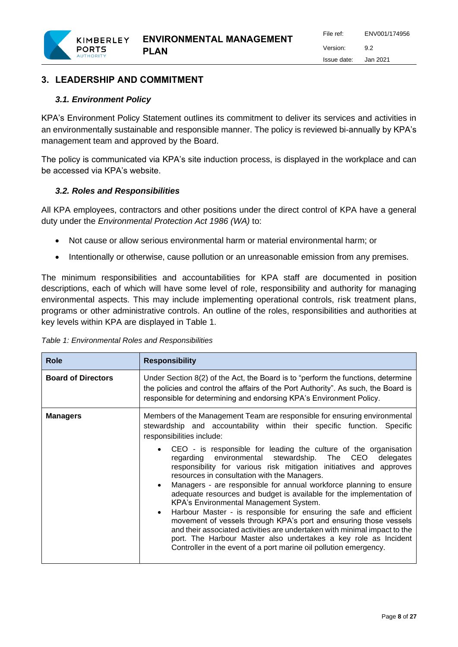# <span id="page-7-0"></span>**3. LEADERSHIP AND COMMITMENT**

# <span id="page-7-1"></span>*3.1. Environment Policy*

KIMBERLEY **PORTS** 

KPA's Environment Policy Statement outlines its commitment to deliver its services and activities in an environmentally sustainable and responsible manner. The policy is reviewed bi-annually by KPA's management team and approved by the Board.

The policy is communicated via KPA's site induction process, is displayed in the workplace and can be accessed via KPA's website.

# <span id="page-7-2"></span>*3.2. Roles and Responsibilities*

All KPA employees, contractors and other positions under the direct control of KPA have a general duty under the *Environmental Protection Act 1986 (WA)* to:

- Not cause or allow serious environmental harm or material environmental harm; or
- Intentionally or otherwise, cause pollution or an unreasonable emission from any premises.

The minimum responsibilities and accountabilities for KPA staff are documented in position descriptions, each of which will have some level of role, responsibility and authority for managing environmental aspects. This may include implementing operational controls, risk treatment plans, programs or other administrative controls. An outline of the roles, responsibilities and authorities at key levels within KPA are displayed in Table 1.

<span id="page-7-3"></span>*Table 1: Environmental Roles and Responsibilities* 

| <b>Board of Directors</b><br>Under Section 8(2) of the Act, the Board is to "perform the functions, determine<br>the policies and control the affairs of the Port Authority". As such, the Board is<br>responsible for determining and endorsing KPA's Environment Policy.                                                                                                                                                                                                                                                                                                                                                                                                                                                                                                                                                                                                                                                                                                                                                                        |
|---------------------------------------------------------------------------------------------------------------------------------------------------------------------------------------------------------------------------------------------------------------------------------------------------------------------------------------------------------------------------------------------------------------------------------------------------------------------------------------------------------------------------------------------------------------------------------------------------------------------------------------------------------------------------------------------------------------------------------------------------------------------------------------------------------------------------------------------------------------------------------------------------------------------------------------------------------------------------------------------------------------------------------------------------|
| Members of the Management Team are responsible for ensuring environmental<br><b>Managers</b><br>stewardship and accountability within their specific function. Specific<br>responsibilities include:<br>• CEO - is responsible for leading the culture of the organisation<br>regarding environmental stewardship. The CEO<br>delegates<br>responsibility for various risk mitigation initiatives and approves<br>resources in consultation with the Managers.<br>Managers - are responsible for annual workforce planning to ensure<br>$\bullet$<br>adequate resources and budget is available for the implementation of<br>KPA's Environmental Management System.<br>Harbour Master - is responsible for ensuring the safe and efficient<br>$\bullet$<br>movement of vessels through KPA's port and ensuring those vessels<br>and their associated activities are undertaken with minimal impact to the<br>port. The Harbour Master also undertakes a key role as Incident<br>Controller in the event of a port marine oil pollution emergency. |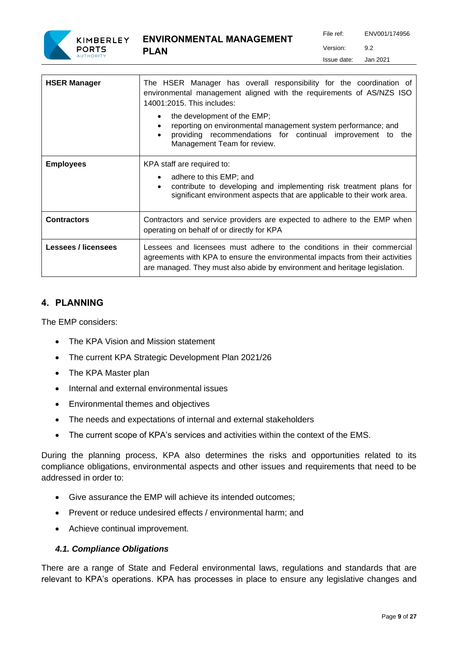

| <b>HSER Manager</b>        | The HSER Manager has overall responsibility for the coordination of<br>environmental management aligned with the requirements of AS/NZS ISO<br>14001:2015. This includes:<br>the development of the EMP;<br>$\bullet$<br>reporting on environmental management system performance; and<br>$\bullet$<br>providing recommendations for continual improvement to<br>the<br>$\bullet$<br>Management Team for review. |  |  |  |  |  |
|----------------------------|------------------------------------------------------------------------------------------------------------------------------------------------------------------------------------------------------------------------------------------------------------------------------------------------------------------------------------------------------------------------------------------------------------------|--|--|--|--|--|
| <b>Employees</b>           | KPA staff are required to:<br>adhere to this EMP; and<br>$\bullet$<br>contribute to developing and implementing risk treatment plans for<br>$\bullet$<br>significant environment aspects that are applicable to their work area.                                                                                                                                                                                 |  |  |  |  |  |
| <b>Contractors</b>         | Contractors and service providers are expected to adhere to the EMP when<br>operating on behalf of or directly for KPA                                                                                                                                                                                                                                                                                           |  |  |  |  |  |
| <b>Lessees / licensees</b> | Lessees and licensees must adhere to the conditions in their commercial<br>agreements with KPA to ensure the environmental impacts from their activities<br>are managed. They must also abide by environment and heritage legislation.                                                                                                                                                                           |  |  |  |  |  |

# <span id="page-8-0"></span>**4. PLANNING**

The EMP considers:

- The KPA Vision and Mission statement
- The current KPA Strategic Development Plan 2021/26
- The KPA Master plan
- Internal and external environmental issues
- Environmental themes and objectives
- The needs and expectations of internal and external stakeholders
- The current scope of KPA's services and activities within the context of the EMS.

During the planning process, KPA also determines the risks and opportunities related to its compliance obligations, environmental aspects and other issues and requirements that need to be addressed in order to:

- Give assurance the EMP will achieve its intended outcomes;
- Prevent or reduce undesired effects / environmental harm; and
- Achieve continual improvement.

#### <span id="page-8-1"></span>*4.1. Compliance Obligations*

There are a range of State and Federal environmental laws, regulations and standards that are relevant to KPA's operations. KPA has processes in place to ensure any legislative changes and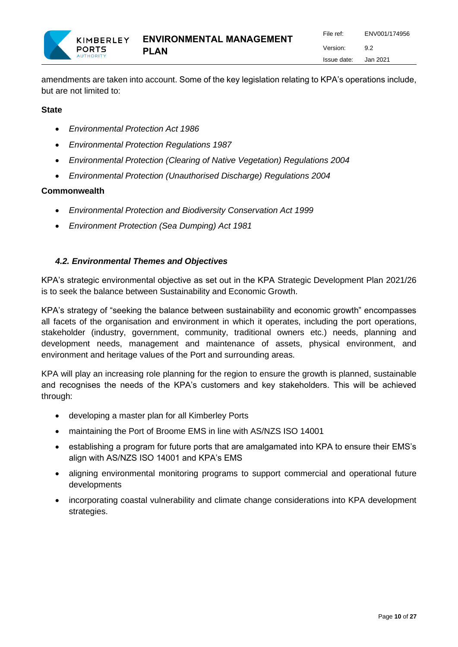amendments are taken into account. Some of the key legislation relating to KPA's operations include, but are not limited to:

# **State**

- *Environmental Protection Act 1986*
- *Environmental Protection Regulations 1987*
- *Environmental Protection (Clearing of Native Vegetation) Regulations 2004*
- *Environmental Protection (Unauthorised Discharge) Regulations 2004*

#### **Commonwealth**

- *Environmental Protection and Biodiversity Conservation Act 1999*
- *Environment Protection (Sea Dumping) Act 1981*

# <span id="page-9-0"></span>*4.2. Environmental Themes and Objectives*

KPA's strategic environmental objective as set out in the KPA Strategic Development Plan 2021/26 is to seek the balance between Sustainability and Economic Growth.

KPA's strategy of "seeking the balance between sustainability and economic growth" encompasses all facets of the organisation and environment in which it operates, including the port operations, stakeholder (industry, government, community, traditional owners etc.) needs, planning and development needs, management and maintenance of assets, physical environment, and environment and heritage values of the Port and surrounding areas.

KPA will play an increasing role planning for the region to ensure the growth is planned, sustainable and recognises the needs of the KPA's customers and key stakeholders. This will be achieved through:

- developing a master plan for all Kimberley Ports
- maintaining the Port of Broome EMS in line with AS/NZS ISO 14001
- establishing a program for future ports that are amalgamated into KPA to ensure their EMS's align with AS/NZS ISO 14001 and KPA's EMS
- aligning environmental monitoring programs to support commercial and operational future developments
- <span id="page-9-1"></span>• incorporating coastal vulnerability and climate change considerations into KPA development strategies.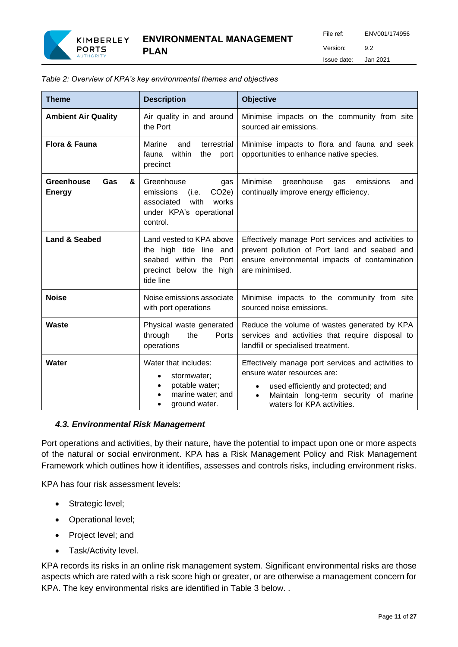

File ref: ENV001/174956 Version: 9.2 Issue date: Jan 2021

| <b>Theme</b>                            | <b>Description</b>                                                                                                                  | <b>Objective</b>                                                                                                                                                                                                  |  |  |
|-----------------------------------------|-------------------------------------------------------------------------------------------------------------------------------------|-------------------------------------------------------------------------------------------------------------------------------------------------------------------------------------------------------------------|--|--|
| <b>Ambient Air Quality</b>              | Air quality in and around<br>the Port                                                                                               | Minimise impacts on the community from site<br>sourced air emissions.                                                                                                                                             |  |  |
| <b>Flora &amp; Fauna</b>                | Marine<br>and<br>terrestrial<br>fauna within<br>the<br>port<br>precinct                                                             | Minimise impacts to flora and fauna and seek<br>opportunities to enhance native species.                                                                                                                          |  |  |
| Greenhouse<br>Gas<br>&<br><b>Energy</b> | Greenhouse<br>gas<br>CO <sub>2</sub> e)<br>emissions<br>(i.e.<br>associated<br>with<br>works<br>under KPA's operational<br>control. | Minimise<br>greenhouse<br>emissions<br>gas<br>and<br>continually improve energy efficiency.                                                                                                                       |  |  |
| <b>Land &amp; Seabed</b>                | Land vested to KPA above<br>the high tide line and<br>seabed within the Port<br>precinct below the high<br>tide line                | Effectively manage Port services and activities to<br>prevent pollution of Port land and seabed and<br>ensure environmental impacts of contamination<br>are minimised.                                            |  |  |
| <b>Noise</b>                            | Noise emissions associate<br>with port operations                                                                                   | Minimise impacts to the community from site<br>sourced noise emissions.                                                                                                                                           |  |  |
| Waste                                   | Physical waste generated<br>through<br>the<br>Ports<br>operations                                                                   | Reduce the volume of wastes generated by KPA<br>services and activities that require disposal to<br>landfill or specialised treatment.                                                                            |  |  |
| Water                                   | Water that includes:<br>stormwater:<br>potable water;<br>$\bullet$<br>marine water; and<br>ground water.                            | Effectively manage port services and activities to<br>ensure water resources are:<br>used efficiently and protected; and<br>٠<br>Maintain long-term security of marine<br>$\bullet$<br>waters for KPA activities. |  |  |

*Table 2: Overview of KPA's key environmental themes and objectives* 

**PLAN**

#### <span id="page-10-0"></span>*4.3. Environmental Risk Management*

Port operations and activities, by their nature, have the potential to impact upon one or more aspects of the natural or social environment. KPA has a Risk Management Policy and Risk Management Framework which outlines how it identifies, assesses and controls risks, including environment risks.

KPA has four risk assessment levels:

- Strategic level;
- Operational level;
- Project level; and
- Task/Activity level.

KPA records its risks in an online risk management system. Significant environmental risks are those aspects which are rated with a risk score high or greater, or are otherwise a management concern for KPA. The key environmental risks are identified in Table 3 below. .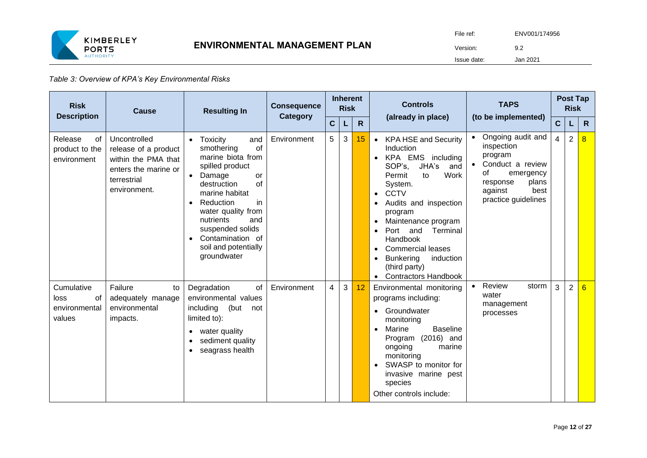

#### *Table 3: Overview of KPA's Key Environmental Risks*

| <b>Risk</b><br><b>Description</b>                   | Cause                                                                                                              | <b>Resulting In</b>                                                                                                                                                                                                                                                                                                                | <b>Consequence</b><br>Category |    | <b>Inherent</b><br><b>Risk</b> |                 | <b>Controls</b>                                                                                                                                                                                                                                                                                                                                                               | <b>TAPS</b>                                                                                                                                      |              | <b>Post Tap</b><br><b>Risk</b> |                |
|-----------------------------------------------------|--------------------------------------------------------------------------------------------------------------------|------------------------------------------------------------------------------------------------------------------------------------------------------------------------------------------------------------------------------------------------------------------------------------------------------------------------------------|--------------------------------|----|--------------------------------|-----------------|-------------------------------------------------------------------------------------------------------------------------------------------------------------------------------------------------------------------------------------------------------------------------------------------------------------------------------------------------------------------------------|--------------------------------------------------------------------------------------------------------------------------------------------------|--------------|--------------------------------|----------------|
|                                                     |                                                                                                                    |                                                                                                                                                                                                                                                                                                                                    |                                | C. | L                              | $\mathsf{R}$    | (already in place)                                                                                                                                                                                                                                                                                                                                                            | (to be implemented)                                                                                                                              | $\mathbf{C}$ |                                | $\mathsf{R}$   |
| Release<br>of<br>product to the<br>environment      | Uncontrolled<br>release of a product<br>within the PMA that<br>enters the marine or<br>terrestrial<br>environment. | Toxicity<br>and<br>$\bullet$<br>of<br>smothering<br>marine biota from<br>spilled product<br>Damage<br>or<br>$\bullet$<br>of<br>destruction<br>marine habitat<br>Reduction<br>in<br>$\bullet$<br>water quality from<br>nutrients<br>and<br>suspended solids<br>Contamination of<br>$\bullet$<br>soil and potentially<br>groundwater | Environment                    | 5  | 3                              | 15 <sub>1</sub> | <b>KPA HSE and Security</b><br>$\bullet$<br>Induction<br>KPA EMS including<br>SOP's.<br>JHA's<br>and<br>Work<br>Permit<br>to<br>System.<br><b>CCTV</b><br>$\bullet$<br>Audits and inspection<br>program<br>Maintenance program<br>and<br>Terminal<br>Port<br>Handbook<br><b>Commercial leases</b><br><b>Bunkering</b><br>induction<br>(third party)<br>• Contractors Handbook | Ongoing audit and<br>inspection<br>program<br>Conduct a review<br>0f<br>emergency<br>plans<br>response<br>best<br>against<br>practice guidelines | 4            | $\overline{2}$                 | $\overline{8}$ |
| Cumulative<br>of<br>loss<br>environmental<br>values | Failure<br>to<br>adequately manage<br>environmental<br>impacts.                                                    | Degradation<br>of<br>environmental values<br>including<br>(but<br>not<br>limited to):<br>water quality<br>$\bullet$<br>sediment quality<br>$\bullet$<br>seagrass health<br>$\bullet$                                                                                                                                               | Environment                    | 4  | 3                              | 12              | Environmental monitoring<br>programs including:<br>Groundwater<br>monitoring<br>Marine<br><b>Baseline</b><br>Program (2016) and<br>marine<br>ongoing<br>monitoring<br>SWASP to monitor for<br>invasive marine pest<br>species<br>Other controls include:                                                                                                                      | Review<br>storm<br>water<br>management<br>processes                                                                                              | 3            | $\overline{2}$                 | 6              |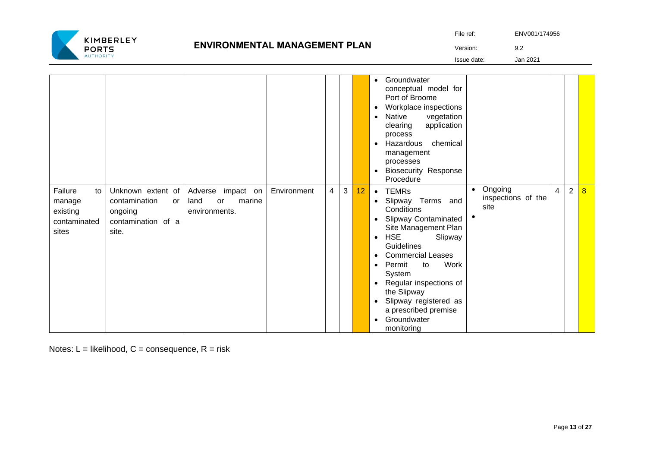

# **ENVIRONMENTAL MANAGEMENT PLAN**

|           | ENV001/174956 |
|-----------|---------------|
| File ref: |               |

Version: 9.2

Issue date: Jan 2021

|                                                              |                                                                                    |                                                               |             |   |   |    | Groundwater<br>$\bullet$<br>conceptual model for<br>Port of Broome<br>Workplace inspections<br>Native<br>vegetation<br>$\bullet$<br>application<br>clearing<br>process<br>Hazardous<br>chemical<br>$\bullet$<br>management<br>processes<br><b>Biosecurity Response</b><br>$\bullet$<br>Procedure                                                                                                                                                                                                                                    |
|--------------------------------------------------------------|------------------------------------------------------------------------------------|---------------------------------------------------------------|-------------|---|---|----|-------------------------------------------------------------------------------------------------------------------------------------------------------------------------------------------------------------------------------------------------------------------------------------------------------------------------------------------------------------------------------------------------------------------------------------------------------------------------------------------------------------------------------------|
| Failure<br>to<br>manage<br>existing<br>contaminated<br>sites | Unknown extent of<br>contamination<br>or<br>ongoing<br>contamination of a<br>site. | Adverse<br>impact on<br>marine<br>land<br>or<br>environments. | Environment | 4 | 3 | 12 | Ongoing<br>$\overline{2}$<br>$\bullet$<br>$\overline{8}$<br>$\overline{4}$<br><b>TEMRs</b><br>$\bullet$<br>inspections of the<br>Slipway Terms and<br>$\bullet$<br>site<br>Conditions<br><b>Slipway Contaminated</b><br>$\bullet$<br>Site Management Plan<br><b>HSE</b><br>Slipway<br>$\bullet$<br>Guidelines<br><b>Commercial Leases</b><br><b>Work</b><br>Permit<br>to<br>System<br>Regular inspections of<br>the Slipway<br>Slipway registered as<br>$\bullet$<br>a prescribed premise<br>Groundwater<br>$\bullet$<br>monitoring |

Notes:  $L =$  likelihood,  $C =$  consequence,  $R =$  risk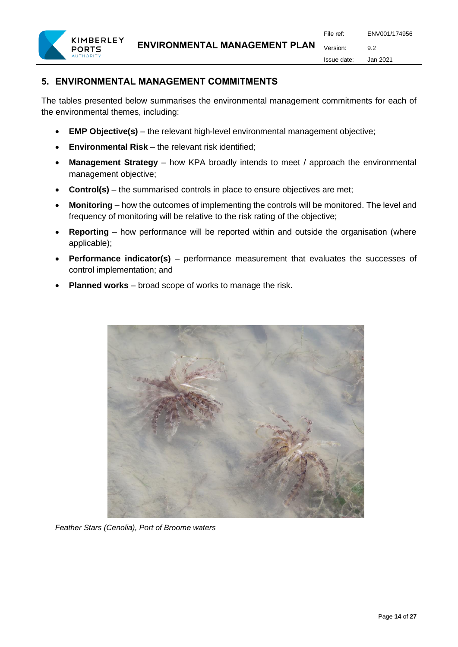

# <span id="page-13-0"></span>**5. ENVIRONMENTAL MANAGEMENT COMMITMENTS**

The tables presented below summarises the environmental management commitments for each of the environmental themes, including:

- **EMP Objective(s)** the relevant high-level environmental management objective;
- **Environmental Risk** the relevant risk identified;
- **Management Strategy** how KPA broadly intends to meet / approach the environmental management objective;
- **Control(s)** the summarised controls in place to ensure objectives are met;
- **Monitoring** how the outcomes of implementing the controls will be monitored. The level and frequency of monitoring will be relative to the risk rating of the objective;
- **Reporting** how performance will be reported within and outside the organisation (where applicable);
- **Performance indicator(s)** performance measurement that evaluates the successes of control implementation; and
- **Planned works** broad scope of works to manage the risk.



*Feather Stars (Cenolia), Port of Broome waters*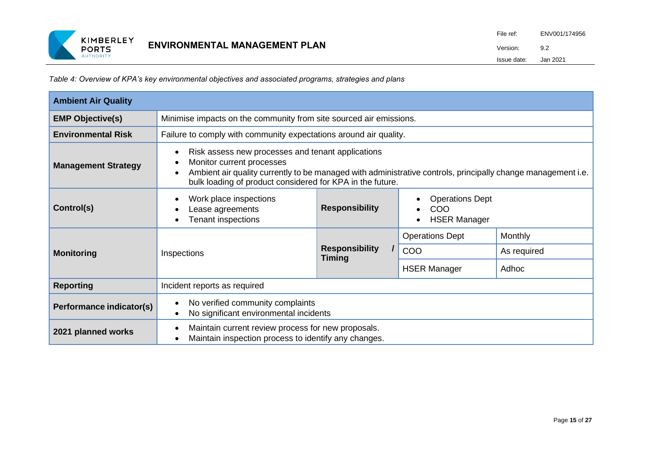

*Table 4: Overview of KPA's key environmental objectives and associated programs, strategies and plans*

| <b>Ambient Air Quality</b>                                                                                                                                                                                                                                                                |                                                                                                                                                          |                                                                   |                        |             |  |  |  |  |
|-------------------------------------------------------------------------------------------------------------------------------------------------------------------------------------------------------------------------------------------------------------------------------------------|----------------------------------------------------------------------------------------------------------------------------------------------------------|-------------------------------------------------------------------|------------------------|-------------|--|--|--|--|
| <b>EMP Objective(s)</b>                                                                                                                                                                                                                                                                   | Minimise impacts on the community from site sourced air emissions.                                                                                       |                                                                   |                        |             |  |  |  |  |
| <b>Environmental Risk</b>                                                                                                                                                                                                                                                                 |                                                                                                                                                          | Failure to comply with community expectations around air quality. |                        |             |  |  |  |  |
| Risk assess new processes and tenant applications<br>Monitor current processes<br><b>Management Strategy</b><br>Ambient air quality currently to be managed with administrative controls, principally change management i.e.<br>bulk loading of product considered for KPA in the future. |                                                                                                                                                          |                                                                   |                        |             |  |  |  |  |
| Control(s)                                                                                                                                                                                                                                                                                | Work place inspections<br><b>Operations Dept</b><br><b>Responsibility</b><br>COO<br>Lease agreements<br><b>Tenant inspections</b><br><b>HSER Manager</b> |                                                                   |                        |             |  |  |  |  |
|                                                                                                                                                                                                                                                                                           |                                                                                                                                                          |                                                                   | <b>Operations Dept</b> | Monthly     |  |  |  |  |
| <b>Monitoring</b>                                                                                                                                                                                                                                                                         | Inspections                                                                                                                                              | <b>Responsibility</b><br><b>Timing</b>                            | COO                    | As required |  |  |  |  |
|                                                                                                                                                                                                                                                                                           |                                                                                                                                                          |                                                                   | <b>HSER Manager</b>    | Adhoc       |  |  |  |  |
| <b>Reporting</b>                                                                                                                                                                                                                                                                          | Incident reports as required                                                                                                                             |                                                                   |                        |             |  |  |  |  |
| Performance indicator(s)                                                                                                                                                                                                                                                                  | No verified community complaints<br>No significant environmental incidents<br>$\bullet$                                                                  |                                                                   |                        |             |  |  |  |  |
| 2021 planned works                                                                                                                                                                                                                                                                        | Maintain current review process for new proposals.<br>Maintain inspection process to identify any changes.                                               |                                                                   |                        |             |  |  |  |  |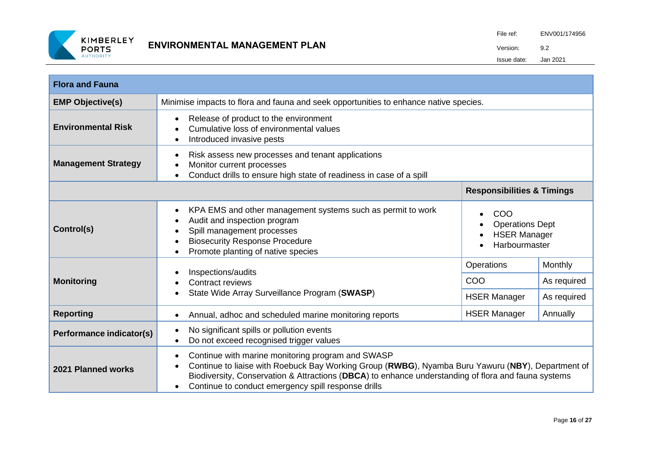

| <b>Flora and Fauna</b>                                                                                                                                                                           |                                                                                                                                                                                                                                                                                                                                                |                                          |                                              |  |  |  |  |  |  |
|--------------------------------------------------------------------------------------------------------------------------------------------------------------------------------------------------|------------------------------------------------------------------------------------------------------------------------------------------------------------------------------------------------------------------------------------------------------------------------------------------------------------------------------------------------|------------------------------------------|----------------------------------------------|--|--|--|--|--|--|
| <b>EMP Objective(s)</b>                                                                                                                                                                          | Minimise impacts to flora and fauna and seek opportunities to enhance native species.                                                                                                                                                                                                                                                          |                                          |                                              |  |  |  |  |  |  |
| <b>Environmental Risk</b>                                                                                                                                                                        | Release of product to the environment<br>$\bullet$<br>Cumulative loss of environmental values<br>Introduced invasive pests                                                                                                                                                                                                                     |                                          |                                              |  |  |  |  |  |  |
| Risk assess new processes and tenant applications<br>$\bullet$<br><b>Management Strategy</b><br>Monitor current processes<br>Conduct drills to ensure high state of readiness in case of a spill |                                                                                                                                                                                                                                                                                                                                                |                                          |                                              |  |  |  |  |  |  |
|                                                                                                                                                                                                  |                                                                                                                                                                                                                                                                                                                                                | <b>Responsibilities &amp; Timings</b>    |                                              |  |  |  |  |  |  |
| Control(s)                                                                                                                                                                                       | KPA EMS and other management systems such as permit to work<br>$\bullet$<br>COO<br>Audit and inspection program<br><b>Operations Dept</b><br>Spill management processes<br><b>HSER Manager</b><br><b>Biosecurity Response Procedure</b><br>Harbourmaster<br>Promote planting of native species                                                 |                                          |                                              |  |  |  |  |  |  |
| <b>Monitoring</b>                                                                                                                                                                                | Inspections/audits<br>Contract reviews<br>State Wide Array Surveillance Program (SWASP)                                                                                                                                                                                                                                                        | Operations<br>COO<br><b>HSER Manager</b> | <b>Monthly</b><br>As required<br>As required |  |  |  |  |  |  |
| <b>Reporting</b>                                                                                                                                                                                 | Annual, adhoc and scheduled marine monitoring reports<br>$\bullet$                                                                                                                                                                                                                                                                             | <b>HSER Manager</b>                      | Annually                                     |  |  |  |  |  |  |
| No significant spills or pollution events<br>Performance indicator(s)<br>Do not exceed recognised trigger values                                                                                 |                                                                                                                                                                                                                                                                                                                                                |                                          |                                              |  |  |  |  |  |  |
| 2021 Planned works                                                                                                                                                                               | Continue with marine monitoring program and SWASP<br>$\bullet$<br>Continue to liaise with Roebuck Bay Working Group (RWBG), Nyamba Buru Yawuru (NBY), Department of<br>Biodiversity, Conservation & Attractions (DBCA) to enhance understanding of flora and fauna systems<br>Continue to conduct emergency spill response drills<br>$\bullet$ |                                          |                                              |  |  |  |  |  |  |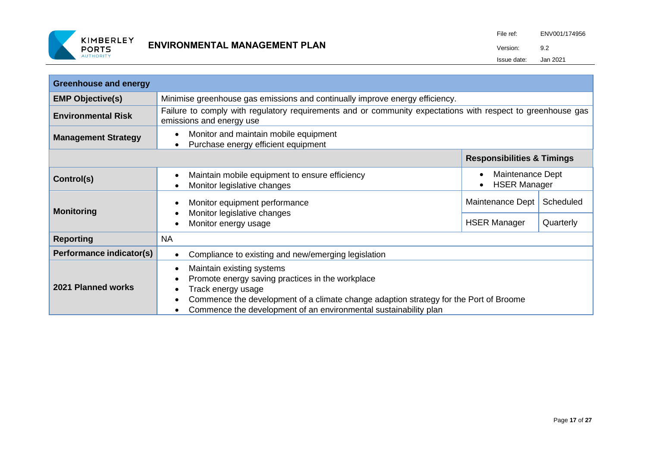

| <b>Greenhouse and energy</b>                                                                               |                                                                                                                                                                                                                                                                  |                                                                   |                        |  |  |  |  |
|------------------------------------------------------------------------------------------------------------|------------------------------------------------------------------------------------------------------------------------------------------------------------------------------------------------------------------------------------------------------------------|-------------------------------------------------------------------|------------------------|--|--|--|--|
| Minimise greenhouse gas emissions and continually improve energy efficiency.<br><b>EMP Objective(s)</b>    |                                                                                                                                                                                                                                                                  |                                                                   |                        |  |  |  |  |
| <b>Environmental Risk</b>                                                                                  | Failure to comply with regulatory requirements and or community expectations with respect to greenhouse gas<br>emissions and energy use                                                                                                                          |                                                                   |                        |  |  |  |  |
| Monitor and maintain mobile equipment<br><b>Management Strategy</b><br>Purchase energy efficient equipment |                                                                                                                                                                                                                                                                  |                                                                   |                        |  |  |  |  |
|                                                                                                            |                                                                                                                                                                                                                                                                  | <b>Responsibilities &amp; Timings</b>                             |                        |  |  |  |  |
| Control(s)                                                                                                 | Maintain mobile equipment to ensure efficiency<br>Monitor legislative changes                                                                                                                                                                                    | Maintenance Dept<br>$\bullet$<br><b>HSER Manager</b><br>$\bullet$ |                        |  |  |  |  |
| <b>Monitoring</b>                                                                                          | Monitor equipment performance<br>Monitor legislative changes<br>Monitor energy usage                                                                                                                                                                             | Maintenance Dept<br><b>HSER Manager</b>                           | Scheduled<br>Quarterly |  |  |  |  |
| <b>Reporting</b>                                                                                           | <b>NA</b>                                                                                                                                                                                                                                                        |                                                                   |                        |  |  |  |  |
| Performance indicator(s)                                                                                   | Compliance to existing and new/emerging legislation                                                                                                                                                                                                              |                                                                   |                        |  |  |  |  |
| 2021 Planned works                                                                                         | Maintain existing systems<br>Promote energy saving practices in the workplace<br>Track energy usage<br>Commence the development of a climate change adaption strategy for the Port of Broome<br>Commence the development of an environmental sustainability plan |                                                                   |                        |  |  |  |  |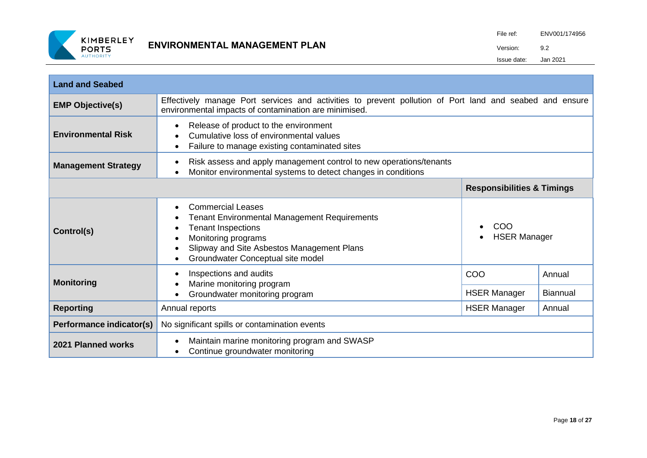

| <b>Land and Seabed</b>     |                                                                                                                                                                                                                        |                                         |                 |  |
|----------------------------|------------------------------------------------------------------------------------------------------------------------------------------------------------------------------------------------------------------------|-----------------------------------------|-----------------|--|
| <b>EMP Objective(s)</b>    | Effectively manage Port services and activities to prevent pollution of Port land and seabed and ensure<br>environmental impacts of contamination are minimised.                                                       |                                         |                 |  |
| <b>Environmental Risk</b>  | Release of product to the environment<br>Cumulative loss of environmental values<br>Failure to manage existing contaminated sites                                                                                      |                                         |                 |  |
| <b>Management Strategy</b> | Risk assess and apply management control to new operations/tenants<br>Monitor environmental systems to detect changes in conditions                                                                                    |                                         |                 |  |
|                            |                                                                                                                                                                                                                        | <b>Responsibilities &amp; Timings</b>   |                 |  |
| Control(s)                 | <b>Commercial Leases</b><br><b>Tenant Environmental Management Requirements</b><br><b>Tenant Inspections</b><br>Monitoring programs<br>Slipway and Site Asbestos Management Plans<br>Groundwater Conceptual site model | COO<br>$\bullet$<br><b>HSER Manager</b> |                 |  |
| <b>Monitoring</b>          | Inspections and audits<br>Marine monitoring program                                                                                                                                                                    | COO                                     | Annual          |  |
|                            | Groundwater monitoring program                                                                                                                                                                                         | <b>HSER Manager</b>                     | <b>Biannual</b> |  |
| <b>Reporting</b>           | Annual reports                                                                                                                                                                                                         | <b>HSER Manager</b>                     | Annual          |  |
| Performance indicator(s)   | No significant spills or contamination events                                                                                                                                                                          |                                         |                 |  |
| 2021 Planned works         | Maintain marine monitoring program and SWASP<br>Continue groundwater monitoring                                                                                                                                        |                                         |                 |  |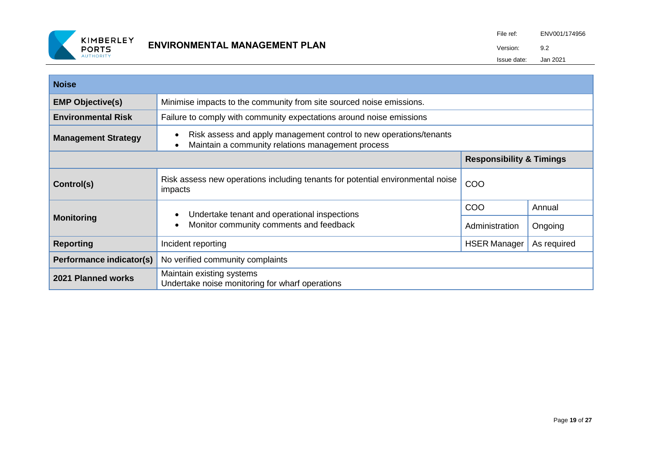

| <b>Noise</b>               |                                                                                                                         |                                     |             |
|----------------------------|-------------------------------------------------------------------------------------------------------------------------|-------------------------------------|-------------|
| <b>EMP Objective(s)</b>    | Minimise impacts to the community from site sourced noise emissions.                                                    |                                     |             |
| <b>Environmental Risk</b>  | Failure to comply with community expectations around noise emissions                                                    |                                     |             |
| <b>Management Strategy</b> | Risk assess and apply management control to new operations/tenants<br>Maintain a community relations management process |                                     |             |
|                            |                                                                                                                         | <b>Responsibility &amp; Timings</b> |             |
| Control(s)                 | Risk assess new operations including tenants for potential environmental noise<br>impacts                               | COO                                 |             |
| <b>Monitoring</b>          | Undertake tenant and operational inspections<br>Monitor community comments and feedback                                 | COO                                 | Annual      |
|                            |                                                                                                                         | Administration                      | Ongoing     |
| <b>Reporting</b>           | Incident reporting                                                                                                      | <b>HSER Manager</b>                 | As required |
| Performance indicator(s)   | No verified community complaints                                                                                        |                                     |             |
| 2021 Planned works         | Maintain existing systems<br>Undertake noise monitoring for wharf operations                                            |                                     |             |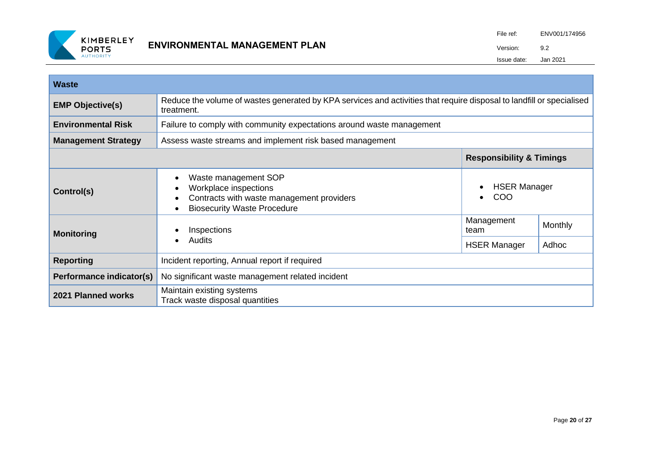

| <b>Waste</b>               |                                                                                                                                     |                                                      |         |  |
|----------------------------|-------------------------------------------------------------------------------------------------------------------------------------|------------------------------------------------------|---------|--|
| <b>EMP Objective(s)</b>    | Reduce the volume of wastes generated by KPA services and activities that require disposal to landfill or specialised<br>treatment. |                                                      |         |  |
| <b>Environmental Risk</b>  | Failure to comply with community expectations around waste management                                                               |                                                      |         |  |
| <b>Management Strategy</b> | Assess waste streams and implement risk based management                                                                            |                                                      |         |  |
|                            |                                                                                                                                     | <b>Responsibility &amp; Timings</b>                  |         |  |
| Control(s)                 | Waste management SOP<br>Workplace inspections<br>Contracts with waste management providers<br><b>Biosecurity Waste Procedure</b>    | <b>HSER Manager</b><br>$\bullet$<br>COO<br>$\bullet$ |         |  |
| <b>Monitoring</b>          | Inspections<br>Audits<br>$\bullet$                                                                                                  | Management<br>team                                   | Monthly |  |
|                            |                                                                                                                                     | <b>HSER Manager</b>                                  | Adhoc   |  |
| <b>Reporting</b>           | Incident reporting, Annual report if required                                                                                       |                                                      |         |  |
| Performance indicator(s)   | No significant waste management related incident                                                                                    |                                                      |         |  |
| 2021 Planned works         | Maintain existing systems<br>Track waste disposal quantities                                                                        |                                                      |         |  |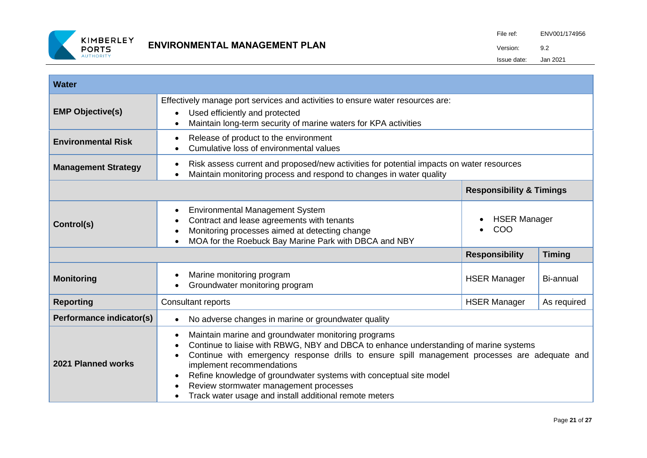

| <b>Water</b>               |                                                                                                                                                                                                                                                                                                                                                                                                                                                                                                                       |                                     |               |
|----------------------------|-----------------------------------------------------------------------------------------------------------------------------------------------------------------------------------------------------------------------------------------------------------------------------------------------------------------------------------------------------------------------------------------------------------------------------------------------------------------------------------------------------------------------|-------------------------------------|---------------|
| <b>EMP Objective(s)</b>    | Effectively manage port services and activities to ensure water resources are:<br>Used efficiently and protected<br>$\bullet$<br>Maintain long-term security of marine waters for KPA activities<br>$\bullet$                                                                                                                                                                                                                                                                                                         |                                     |               |
| <b>Environmental Risk</b>  | Release of product to the environment<br>$\bullet$<br>Cumulative loss of environmental values                                                                                                                                                                                                                                                                                                                                                                                                                         |                                     |               |
| <b>Management Strategy</b> | Risk assess current and proposed/new activities for potential impacts on water resources<br>$\bullet$<br>Maintain monitoring process and respond to changes in water quality<br>$\bullet$                                                                                                                                                                                                                                                                                                                             |                                     |               |
|                            |                                                                                                                                                                                                                                                                                                                                                                                                                                                                                                                       | <b>Responsibility &amp; Timings</b> |               |
| Control(s)                 | Environmental Management System<br>$\bullet$<br>Contract and lease agreements with tenants<br>$\bullet$<br>Monitoring processes aimed at detecting change<br>$\bullet$<br>MOA for the Roebuck Bay Marine Park with DBCA and NBY<br>$\bullet$                                                                                                                                                                                                                                                                          | <b>HSER Manager</b><br>COO          |               |
|                            |                                                                                                                                                                                                                                                                                                                                                                                                                                                                                                                       | <b>Responsibility</b>               | <b>Timing</b> |
| <b>Monitoring</b>          | Marine monitoring program<br>$\bullet$<br>Groundwater monitoring program                                                                                                                                                                                                                                                                                                                                                                                                                                              | <b>HSER Manager</b>                 | Bi-annual     |
| <b>Reporting</b>           | Consultant reports                                                                                                                                                                                                                                                                                                                                                                                                                                                                                                    | <b>HSER Manager</b>                 | As required   |
| Performance indicator(s)   | No adverse changes in marine or groundwater quality<br>$\bullet$                                                                                                                                                                                                                                                                                                                                                                                                                                                      |                                     |               |
| 2021 Planned works         | Maintain marine and groundwater monitoring programs<br>$\bullet$<br>Continue to liaise with RBWG, NBY and DBCA to enhance understanding of marine systems<br>$\bullet$<br>Continue with emergency response drills to ensure spill management processes are adequate and<br>$\bullet$<br>implement recommendations<br>Refine knowledge of groundwater systems with conceptual site model<br>$\bullet$<br>Review stormwater management processes<br>Track water usage and install additional remote meters<br>$\bullet$ |                                     |               |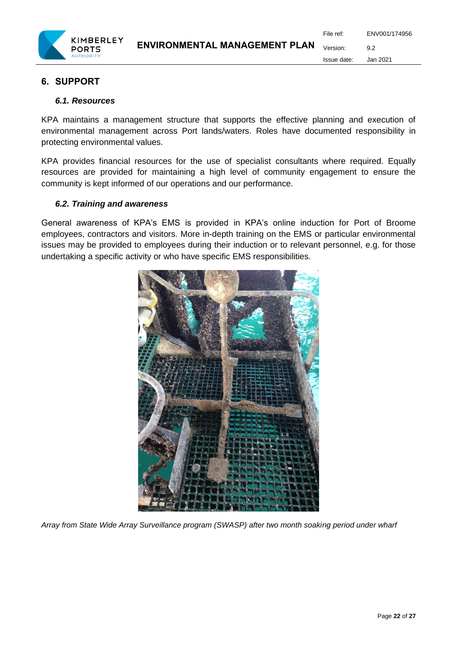

File ref: ENV001/174956 Version: 9.2 Issue date: Jan 2021

# <span id="page-21-0"></span>**6. SUPPORT**

#### <span id="page-21-1"></span>*6.1. Resources*

KPA maintains a management structure that supports the effective planning and execution of environmental management across Port lands/waters. Roles have documented responsibility in protecting environmental values.

KPA provides financial resources for the use of specialist consultants where required. Equally resources are provided for maintaining a high level of community engagement to ensure the community is kept informed of our operations and our performance.

# <span id="page-21-2"></span>*6.2. Training and awareness*

General awareness of KPA's EMS is provided in KPA's online induction for Port of Broome employees, contractors and visitors. More in-depth training on the EMS or particular environmental issues may be provided to employees during their induction or to relevant personnel, e.g. for those undertaking a specific activity or who have specific EMS responsibilities.



*Array from State Wide Array Surveillance program (SWASP) after two month soaking period under wharf*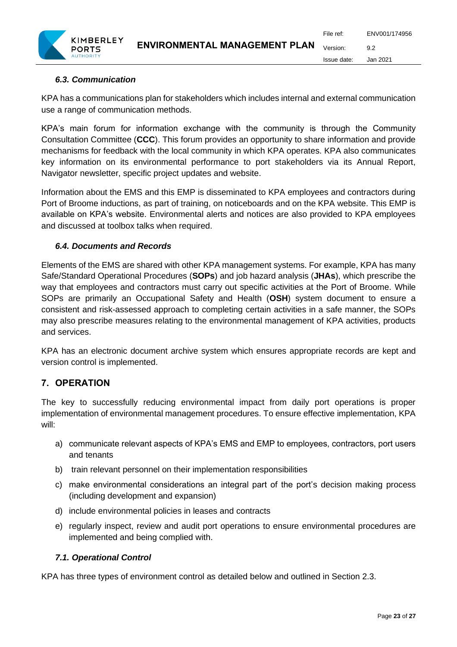

# <span id="page-22-0"></span>*6.3. Communication*

KPA has a communications plan for stakeholders which includes internal and external communication use a range of communication methods.

KPA's main forum for information exchange with the community is through the Community Consultation Committee (**CCC**). This forum provides an opportunity to share information and provide mechanisms for feedback with the local community in which KPA operates. KPA also communicates key information on its environmental performance to port stakeholders via its Annual Report, Navigator newsletter, specific project updates and website.

Information about the EMS and this EMP is disseminated to KPA employees and contractors during Port of Broome inductions, as part of training, on noticeboards and on the KPA website. This EMP is available on KPA's website. Environmental alerts and notices are also provided to KPA employees and discussed at toolbox talks when required.

#### <span id="page-22-1"></span>*6.4. Documents and Records*

Elements of the EMS are shared with other KPA management systems. For example, KPA has many Safe/Standard Operational Procedures (**SOPs**) and job hazard analysis (**JHAs**), which prescribe the way that employees and contractors must carry out specific activities at the Port of Broome. While SOPs are primarily an Occupational Safety and Health (**OSH**) system document to ensure a consistent and risk-assessed approach to completing certain activities in a safe manner, the SOPs may also prescribe measures relating to the environmental management of KPA activities, products and services.

KPA has an electronic document archive system which ensures appropriate records are kept and version control is implemented.

# <span id="page-22-2"></span>**7. OPERATION**

The key to successfully reducing environmental impact from daily port operations is proper implementation of environmental management procedures. To ensure effective implementation, KPA will:

- a) communicate relevant aspects of KPA's EMS and EMP to employees, contractors, port users and tenants
- b) train relevant personnel on their implementation responsibilities
- c) make environmental considerations an integral part of the port's decision making process (including development and expansion)
- d) include environmental policies in leases and contracts
- e) regularly inspect, review and audit port operations to ensure environmental procedures are implemented and being complied with.

# <span id="page-22-3"></span>*7.1. Operational Control*

KPA has three types of environment control as detailed below and outlined in Section 2.3.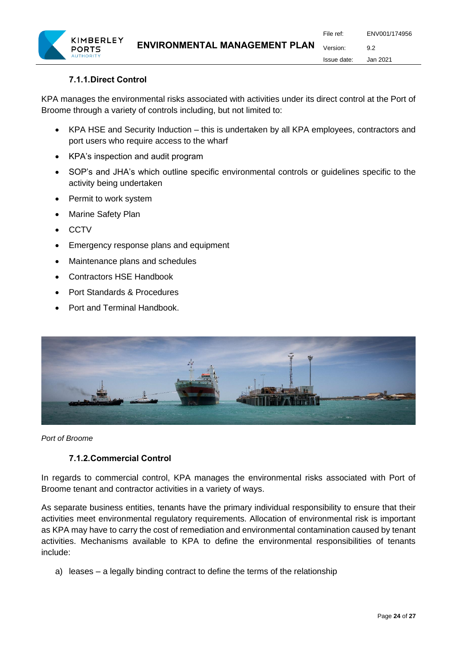# **7.1.1.Direct Control**

<span id="page-23-0"></span>KPA manages the environmental risks associated with activities under its direct control at the Port of Broome through a variety of controls including, but not limited to:

- KPA HSE and Security Induction this is undertaken by all KPA employees, contractors and port users who require access to the wharf
- KPA's inspection and audit program
- SOP's and JHA's which outline specific environmental controls or guidelines specific to the activity being undertaken
- Permit to work system
- Marine Safety Plan
- CCTV
- Emergency response plans and equipment
- Maintenance plans and schedules
- Contractors HSE Handbook
- Port Standards & Procedures
- Port and Terminal Handbook.



<span id="page-23-1"></span>*Port of Broome*

#### **7.1.2.Commercial Control**

In regards to commercial control, KPA manages the environmental risks associated with Port of Broome tenant and contractor activities in a variety of ways.

As separate business entities, tenants have the primary individual responsibility to ensure that their activities meet environmental regulatory requirements. Allocation of environmental risk is important as KPA may have to carry the cost of remediation and environmental contamination caused by tenant activities. Mechanisms available to KPA to define the environmental responsibilities of tenants include:

a) leases – a legally binding contract to define the terms of the relationship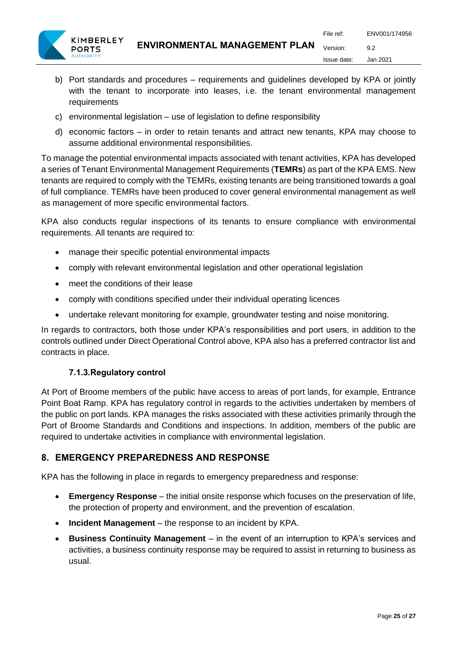- b) Port standards and procedures requirements and guidelines developed by KPA or jointly with the tenant to incorporate into leases, i.e. the tenant environmental management requirements
- c) environmental legislation use of legislation to define responsibility
- d) economic factors in order to retain tenants and attract new tenants, KPA may choose to assume additional environmental responsibilities.

To manage the potential environmental impacts associated with tenant activities, KPA has developed a series of Tenant Environmental Management Requirements (**TEMRs**) as part of the KPA EMS. New tenants are required to comply with the TEMRs, existing tenants are being transitioned towards a goal of full compliance. TEMRs have been produced to cover general environmental management as well as management of more specific environmental factors.

KPA also conducts regular inspections of its tenants to ensure compliance with environmental requirements. All tenants are required to:

- manage their specific potential environmental impacts
- comply with relevant environmental legislation and other operational legislation
- meet the conditions of their lease
- comply with conditions specified under their individual operating licences
- undertake relevant monitoring for example, groundwater testing and noise monitoring.

In regards to contractors, both those under KPA's responsibilities and port users, in addition to the controls outlined under Direct Operational Control above, KPA also has a preferred contractor list and contracts in place.

# **7.1.3.Regulatory control**

<span id="page-24-0"></span>At Port of Broome members of the public have access to areas of port lands, for example, Entrance Point Boat Ramp. KPA has regulatory control in regards to the activities undertaken by members of the public on port lands. KPA manages the risks associated with these activities primarily through the Port of Broome Standards and Conditions and inspections. In addition, members of the public are required to undertake activities in compliance with environmental legislation.

# <span id="page-24-1"></span>**8. EMERGENCY PREPAREDNESS AND RESPONSE**

KPA has the following in place in regards to emergency preparedness and response:

- **Emergency Response** the initial onsite response which focuses on the preservation of life, the protection of property and environment, and the prevention of escalation.
- **Incident Management** the response to an incident by KPA.
- **Business Continuity Management** in the event of an interruption to KPA's services and activities, a business continuity response may be required to assist in returning to business as usual.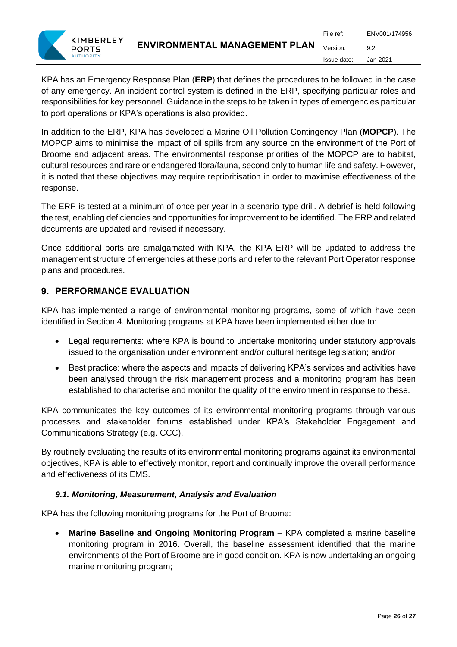KPA has an Emergency Response Plan (**ERP**) that defines the procedures to be followed in the case of any emergency. An incident control system is defined in the ERP, specifying particular roles and responsibilities for key personnel. Guidance in the steps to be taken in types of emergencies particular to port operations or KPA's operations is also provided.

In addition to the ERP, KPA has developed a Marine Oil Pollution Contingency Plan (**MOPCP**). The MOPCP aims to minimise the impact of oil spills from any source on the environment of the Port of Broome and adjacent areas. The environmental response priorities of the MOPCP are to habitat, cultural resources and rare or endangered flora/fauna, second only to human life and safety. However, it is noted that these objectives may require reprioritisation in order to maximise effectiveness of the response.

The ERP is tested at a minimum of once per year in a scenario-type drill. A debrief is held following the test, enabling deficiencies and opportunities for improvement to be identified. The ERP and related documents are updated and revised if necessary.

Once additional ports are amalgamated with KPA, the KPA ERP will be updated to address the management structure of emergencies at these ports and refer to the relevant Port Operator response plans and procedures.

# <span id="page-25-0"></span>**9. PERFORMANCE EVALUATION**

KPA has implemented a range of environmental monitoring programs, some of which have been identified in Section 4. Monitoring programs at KPA have been implemented either due to:

- Legal requirements: where KPA is bound to undertake monitoring under statutory approvals issued to the organisation under environment and/or cultural heritage legislation; and/or
- Best practice: where the aspects and impacts of delivering KPA's services and activities have been analysed through the risk management process and a monitoring program has been established to characterise and monitor the quality of the environment in response to these.

KPA communicates the key outcomes of its environmental monitoring programs through various processes and stakeholder forums established under KPA's Stakeholder Engagement and Communications Strategy (e.g. CCC).

By routinely evaluating the results of its environmental monitoring programs against its environmental objectives, KPA is able to effectively monitor, report and continually improve the overall performance and effectiveness of its EMS.

# <span id="page-25-1"></span>*9.1. Monitoring, Measurement, Analysis and Evaluation*

KPA has the following monitoring programs for the Port of Broome:

• **Marine Baseline and Ongoing Monitoring Program** – KPA completed a marine baseline monitoring program in 2016. Overall, the baseline assessment identified that the marine environments of the Port of Broome are in good condition. KPA is now undertaking an ongoing marine monitoring program;